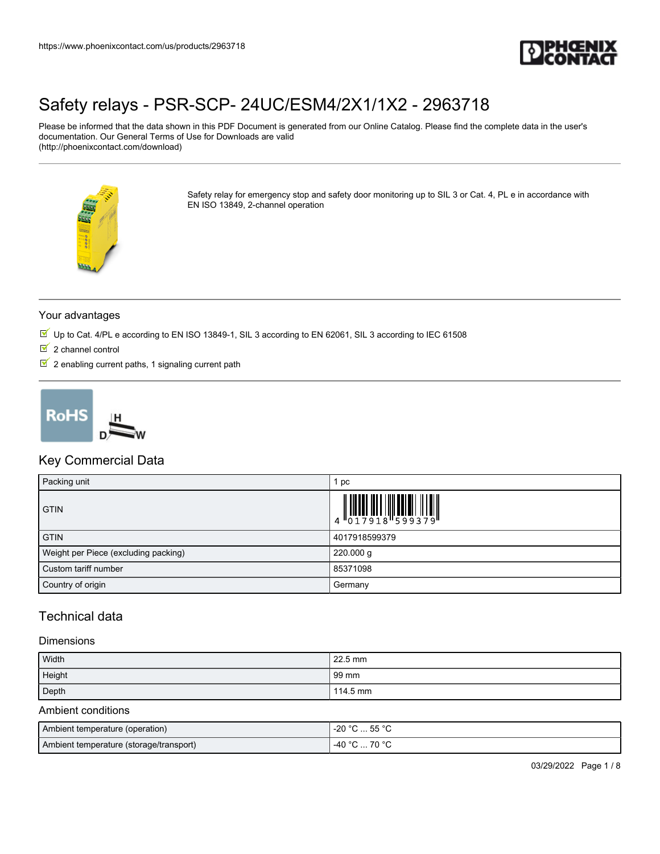

Please be informed that the data shown in this PDF Document is generated from our Online Catalog. Please find the complete data in the user's documentation. Our General Terms of Use for Downloads are valid (http://phoenixcontact.com/download)



Safety relay for emergency stop and safety door monitoring up to SIL 3 or Cat. 4, PL e in accordance with EN ISO 13849, 2-channel operation

#### Your advantages

- $\overline{\mathbb{M}}$  Up to Cat. 4/PL e according to EN ISO 13849-1, SIL 3 according to EN 62061, SIL 3 according to IEC 61508
- $\overline{2}$  2 channel control
- $2$  enabling current paths, 1 signaling current path



#### Key Commercial Data

| Packing unit                         | рc            |
|--------------------------------------|---------------|
| <b>GTIN</b>                          |               |
| <b>GTIN</b>                          | 4017918599379 |
| Weight per Piece (excluding packing) | 220.000 g     |
| Custom tariff number                 | 85371098      |
| Country of origin                    | Germany       |

### Technical data

#### Dimensions

| Width  | $22.5 \text{ mm}$ |
|--------|-------------------|
| Height | 99 mm             |
| Depth  | 114.5 mm          |

#### Ambient conditions

| Ambient temperature (operation)         | -20 °C  55 °C |
|-----------------------------------------|---------------|
| Ambient temperature (storage/transport) | -40 °C  70 °C |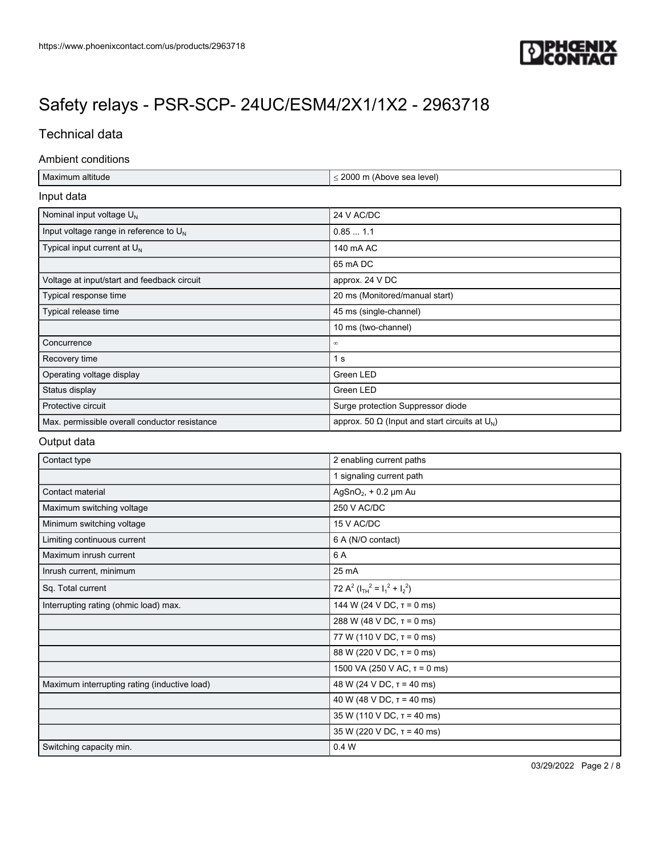

### Technical data

#### Ambient conditions

| $\leq$ 2000 m (Above sea level)                          |
|----------------------------------------------------------|
|                                                          |
| 24 V AC/DC                                               |
| 0.851.1                                                  |
| 140 mA AC                                                |
| 65 mA DC                                                 |
| approx. 24 V DC                                          |
| 20 ms (Monitored/manual start)                           |
| 45 ms (single-channel)                                   |
| 10 ms (two-channel)                                      |
| $^{\circ}$                                               |
| 1 <sub>s</sub>                                           |
| Green LED                                                |
| Green LED                                                |
| Surge protection Suppressor diode                        |
| approx. 50 $\Omega$ (Input and start circuits at $U_N$ ) |
|                                                          |

#### Output data

| Contact type                                 | 2 enabling current paths                |
|----------------------------------------------|-----------------------------------------|
|                                              | 1 signaling current path                |
| Contact material                             | AgSnO <sub>2</sub> , $+$ 0.2 $\mu$ m Au |
| Maximum switching voltage                    | 250 V AC/DC                             |
| Minimum switching voltage                    | 15 V AC/DC                              |
| Limiting continuous current                  | 6 A (N/O contact)                       |
| Maximum inrush current                       | 6 A                                     |
| Inrush current, minimum                      | 25 mA                                   |
| Sq. Total current                            | 72 $A^2$ ( $I_{TH}^2 = I_1^2 + I_2^2$ ) |
| Interrupting rating (ohmic load) max.        | 144 W (24 V DC, $\tau$ = 0 ms)          |
|                                              | 288 W (48 V DC, $\tau$ = 0 ms)          |
|                                              | 77 W (110 V DC, $\tau$ = 0 ms)          |
|                                              | 88 W (220 V DC, $\tau$ = 0 ms)          |
|                                              | 1500 VA (250 V AC, $\tau$ = 0 ms)       |
| Maximum interrupting rating (inductive load) | 48 W (24 V DC, $\tau$ = 40 ms)          |
|                                              | 40 W (48 V DC, $\tau$ = 40 ms)          |
|                                              | $35 W (110 V DC, \tau = 40 ms)$         |
|                                              | 35 W (220 V DC, $\tau$ = 40 ms)         |
| Switching capacity min.                      | 0.4W                                    |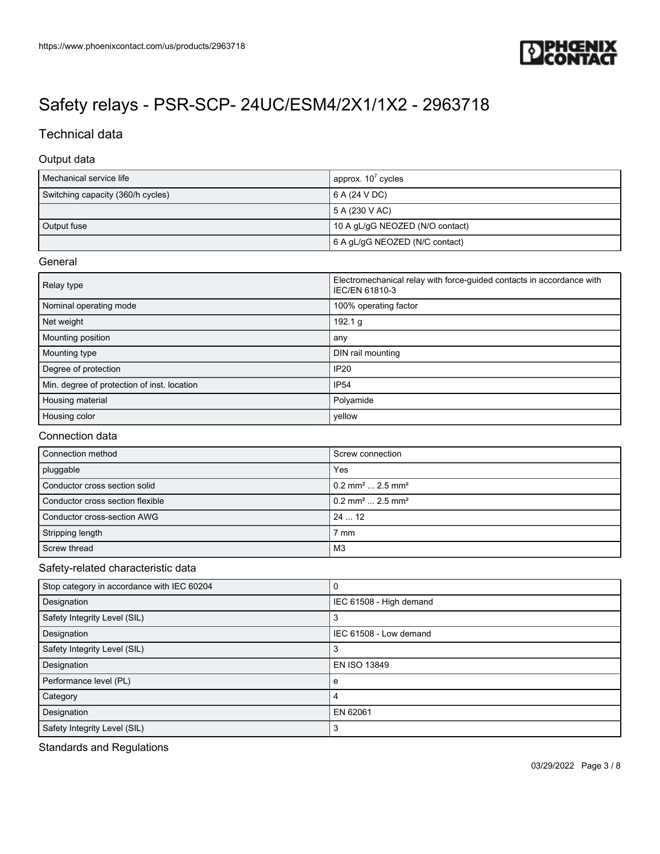

### Technical data

#### Output data

| Mechanical service life           | approx. $107$ cycles            |
|-----------------------------------|---------------------------------|
| Switching capacity (360/h cycles) | 6 A (24 V DC)                   |
|                                   | 5 A (230 V AC)                  |
| Output fuse                       | 10 A gL/gG NEOZED (N/O contact) |
|                                   | 6 A gL/gG NEOZED (N/C contact)  |

#### **General**

| Relay type                                  | Electromechanical relay with force-guided contacts in accordance with<br>IEC/EN 61810-3 |
|---------------------------------------------|-----------------------------------------------------------------------------------------|
| Nominal operating mode                      | 100% operating factor                                                                   |
| Net weight                                  | 192.1 g                                                                                 |
| Mounting position                           | any                                                                                     |
| Mounting type                               | DIN rail mounting                                                                       |
| Degree of protection                        | <b>IP20</b>                                                                             |
| Min. degree of protection of inst. location | <b>IP54</b>                                                                             |
| Housing material                            | Polyamide                                                                               |
| Housing color                               | yellow                                                                                  |

#### Connection data

| Connection method                | Screw connection                           |
|----------------------------------|--------------------------------------------|
| pluggable                        | Yes                                        |
| Conductor cross section solid    | $10.2$ mm <sup>2</sup> 2.5 mm <sup>2</sup> |
| Conductor cross section flexible | $10.2$ mm <sup>2</sup> 2.5 mm <sup>2</sup> |
| Conductor cross-section AWG      | 2412                                       |
| Stripping length                 | 7 mm                                       |
| Screw thread                     | M3                                         |

#### Safety-related characteristic data

| Stop category in accordance with IEC 60204 | C                       |
|--------------------------------------------|-------------------------|
| Designation                                | IEC 61508 - High demand |
| Safety Integrity Level (SIL)               | 3                       |
| Designation                                | IEC 61508 - Low demand  |
| Safety Integrity Level (SIL)               | 3                       |
| Designation                                | EN ISO 13849            |
| Performance level (PL)                     | e                       |
| Category                                   | 4                       |
| Designation                                | EN 62061                |
| Safety Integrity Level (SIL)               | 3                       |

Standards and Regulations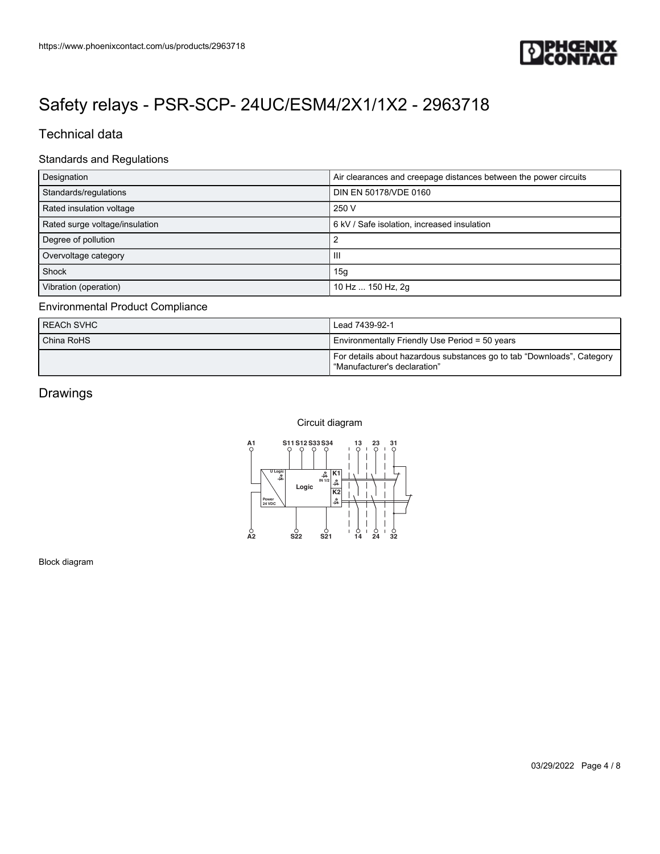

### Technical data

#### Standards and Regulations

| Designation                    | Air clearances and creepage distances between the power circuits |
|--------------------------------|------------------------------------------------------------------|
| Standards/regulations          | DIN EN 50178/VDE 0160                                            |
| Rated insulation voltage       | 250 V                                                            |
| Rated surge voltage/insulation | 6 kV / Safe isolation, increased insulation                      |
| Degree of pollution            |                                                                  |
| Overvoltage category           | Ш                                                                |
| Shock                          | 15g                                                              |
| Vibration (operation)          | 10 Hz  150 Hz, 2g                                                |

#### Environmental Product Compliance

| REACh SVHC | Lead 7439-92-1                                                                                           |
|------------|----------------------------------------------------------------------------------------------------------|
| China RoHS | Environmentally Friendly Use Period = 50 years                                                           |
|            | For details about hazardous substances go to tab "Downloads", Category<br>l "Manufacturer's declaration" |

### Drawings

Circuit diagram



Block diagram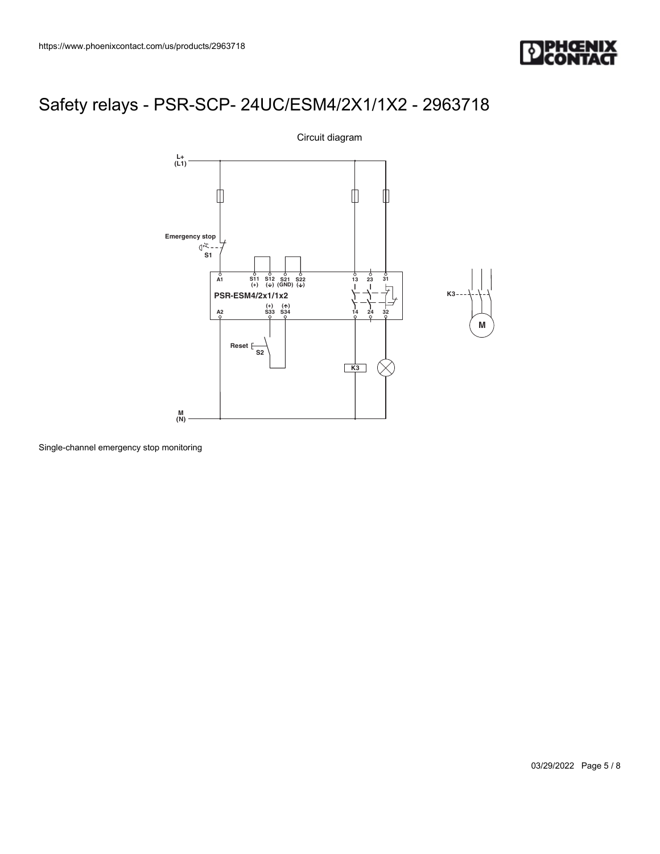



Single-channel emergency stop monitoring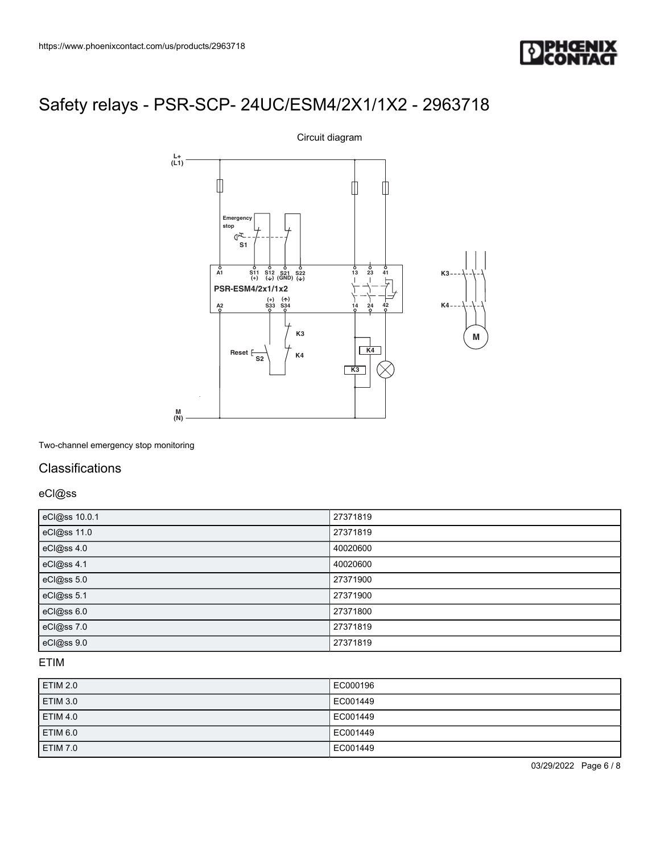



Two-channel emergency stop monitoring

### **Classifications**

eCl@ss

| eCl@ss 10.0.1 | 27371819 |
|---------------|----------|
| eCl@ss 11.0   | 27371819 |
| eCl@ss 4.0    | 40020600 |
| eCl@ss 4.1    | 40020600 |
| eCl@ss 5.0    | 27371900 |
| eCl@ss 5.1    | 27371900 |
| eCl@ss 6.0    | 27371800 |
| eCl@ss 7.0    | 27371819 |
| eCl@ss 9.0    | 27371819 |

#### ETIM

| ETIM 2.0        | EC000196 |
|-----------------|----------|
| ETIM 3.0        | EC001449 |
| <b>ETIM 4.0</b> | EC001449 |
| ETIM 6.0        | EC001449 |
| ETIM 7.0        | EC001449 |

03/29/2022 Page 6 / 8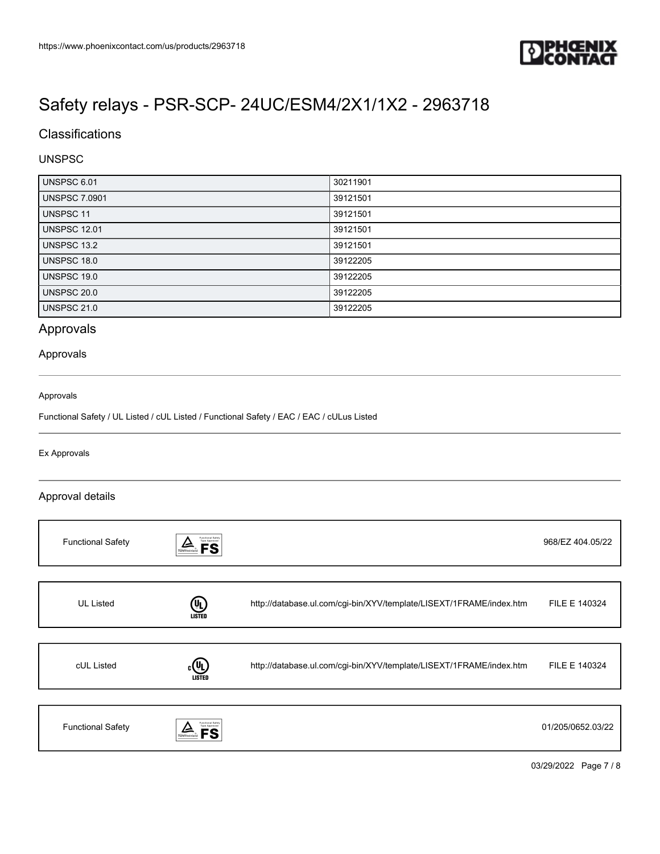

## **Classifications**

#### UNSPSC

| UNSPSC 6.01          | 30211901 |
|----------------------|----------|
| <b>UNSPSC 7.0901</b> | 39121501 |
| <b>UNSPSC 11</b>     | 39121501 |
| <b>UNSPSC 12.01</b>  | 39121501 |
| UNSPSC 13.2          | 39121501 |
| <b>UNSPSC 18.0</b>   | 39122205 |
| UNSPSC 19.0          | 39122205 |
| <b>UNSPSC 20.0</b>   | 39122205 |
| <b>UNSPSC 21.0</b>   | 39122205 |

### Approvals

#### Approvals

#### Approvals

Functional Safety / UL Listed / cUL Listed / Functional Safety / EAC / EAC / cULus Listed

#### Ex Approvals

#### Approval details

| <b>Functional Safety</b> | Functional Safety<br>Type Approved<br><b>FS</b><br>TÜVRheinland |                                                                     | 968/EZ 404.05/22  |
|--------------------------|-----------------------------------------------------------------|---------------------------------------------------------------------|-------------------|
|                          |                                                                 |                                                                     |                   |
| <b>UL Listed</b>         | (9<br><b>LISTED</b>                                             | http://database.ul.com/cgi-bin/XYV/template/LISEXT/1FRAME/index.htm | FILE E 140324     |
|                          |                                                                 |                                                                     |                   |
| cUL Listed               | $(\mathbf{U}_L)$<br><b>LISTED</b>                               | http://database.ul.com/cgi-bin/XYV/template/LISEXT/1FRAME/index.htm | FILE E 140324     |
|                          |                                                                 |                                                                     |                   |
| <b>Functional Safety</b> | Functional Safety<br>Type Approved                              |                                                                     | 01/205/0652.03/22 |

03/29/2022 Page 7 / 8